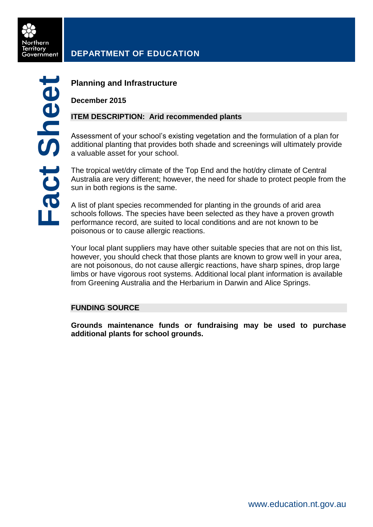

# **DEPARTMENT OF EDUCATION**

## **Planning and Infrastructure**

**December 2015**

## **ITEM DESCRIPTION: Arid recommended plants**

Assessment of your school's existing vegetation and the formulation of a plan for additional planting that provides both shade and screenings will ultimately provide a valuable asset for your school.

The tropical wet/dry climate of the Top End and the hot/dry climate of Central Australia are very different; however, the need for shade to protect people from the sun in both regions is the same.

A list of plant species recommended for planting in the grounds of arid area schools follows. The species have been selected as they have a proven growth performance record, are suited to local conditions and are not known to be poisonous or to cause allergic reactions.

Your local plant suppliers may have other suitable species that are not on this list, however, you should check that those plants are known to grow well in your area, are not poisonous, do not cause allergic reactions, have sharp spines, drop large limbs or have vigorous root systems. Additional local plant information is available from Greening Australia and the Herbarium in Darwin and Alice Springs.

### **FUNDING SOURCE**

**Grounds maintenance funds or fundraising may be used to purchase additional plants for school grounds.**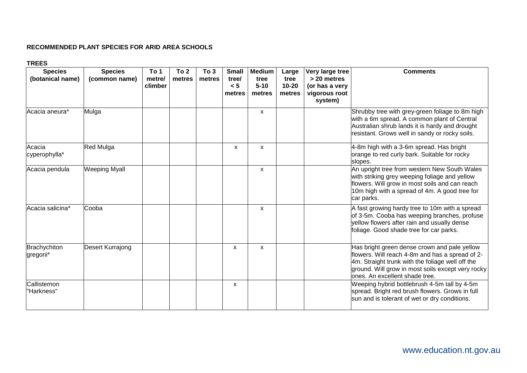#### **RECOMMENDED PLANT SPECIES FOR ARID AREA SCHOOLS**

#### **TREES**

| <b>Species</b><br>(botanical name) | <b>Species</b><br>(common name) | To 1<br>metre/<br>climber | To 2<br>metres | To 3<br>metres | <b>Small</b><br>tree/<br>< 5<br>metres | <b>Medium</b><br>tree<br>$5 - 10$<br>metres | Large<br>tree<br>$10 - 20$<br>metres | Very large tree<br>> 20 metres<br>(or has a very<br>vigorous root<br>system) | <b>Comments</b>                                                                                                                                                                                                                            |
|------------------------------------|---------------------------------|---------------------------|----------------|----------------|----------------------------------------|---------------------------------------------|--------------------------------------|------------------------------------------------------------------------------|--------------------------------------------------------------------------------------------------------------------------------------------------------------------------------------------------------------------------------------------|
| Acacia aneura*                     | Mulga                           |                           |                |                |                                        | $\mathsf{x}$                                |                                      |                                                                              | Shrubby tree with grey-green foliage to 8m high<br>with a 6m spread. A common plant of Central<br>Australian shrub lands it is hardy and drought<br>resistant. Grows well in sandy or rocky soils.                                         |
| Acacia<br>cyperophylla*            | Red Mulga                       |                           |                |                | $\mathsf{x}$                           | $\mathsf{x}$                                |                                      |                                                                              | 4-8m high with a 3-6m spread. Has bright<br>orange to red curly bark. Suitable for rocky<br>slopes.                                                                                                                                        |
| Acacia pendula                     | <b>Weeping Myall</b>            |                           |                |                |                                        | $\mathsf{x}$                                |                                      |                                                                              | An upright tree from western New South Wales<br>with striking grey weeping foliage and yellow<br>flowers. Will grow in most soils and can reach<br>10m high with a spread of 4m. A good tree for<br>car parks.                             |
| Acacia salicina*                   | Cooba                           |                           |                |                |                                        | X                                           |                                      |                                                                              | A fast growing hardy tree to 10m with a spread<br>of 3-5m. Cooba has weeping branches, profuse<br>yellow flowers after rain and usually dense<br>foliage. Good shade tree for car parks.                                                   |
| Brachychiton<br>gregorii*          | <b>Desert Kurrajong</b>         |                           |                |                | X                                      | X                                           |                                      |                                                                              | Has bright green dense crown and pale yellow<br>flowers. Will reach 4-8m and has a spread of 2-<br>4m. Straight trunk with the foliage well off the<br>ground. Will grow in most soils except very rocky<br>ones. An excellent shade tree. |
| Callistemon<br>"Harkness"          |                                 |                           |                |                | $\mathsf{x}$                           |                                             |                                      |                                                                              | Weeping hybrid bottlebrush 4-5m tall by 4-5m<br>spread. Bright red brush flowers. Grows in full<br>sun and is tolerant of wet or dry conditions.                                                                                           |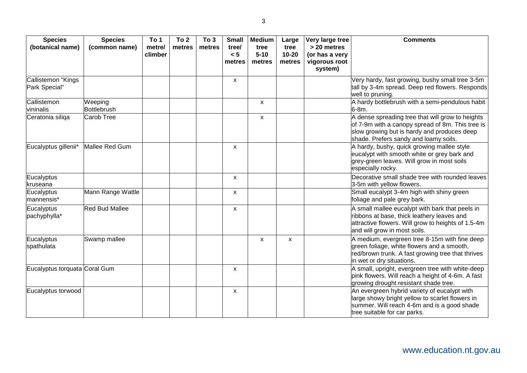| <b>Species</b><br>(botanical name)  | <b>Species</b><br>(common name) | To 1<br>metre/<br>climber | To <sub>2</sub><br>metres | To 3<br>metres | <b>Small</b><br>tree/<br>< 5<br>metres | <b>Medium</b><br>tree<br>$5 - 10$<br>metres | Large<br>tree<br>$10 - 20$<br>metres | Very large tree<br>> 20 metres<br>(or has a very<br>vigorous root<br>system) | <b>Comments</b>                                                                                                                                                                              |
|-------------------------------------|---------------------------------|---------------------------|---------------------------|----------------|----------------------------------------|---------------------------------------------|--------------------------------------|------------------------------------------------------------------------------|----------------------------------------------------------------------------------------------------------------------------------------------------------------------------------------------|
| Callistemon "Kings<br>Park Special" |                                 |                           |                           |                | X                                      |                                             |                                      |                                                                              | Very hardy, fast growing, bushy small tree 3-5m<br>tall by 3-4m spread. Deep red flowers. Responds<br>well to pruning.                                                                       |
| Callistemon<br>vininalis            | Weeping<br>Bottlebrush          |                           |                           |                |                                        | $\mathsf{x}$                                |                                      |                                                                              | A hardy bottlebrush with a semi-pendulous habit<br>$6-8m.$                                                                                                                                   |
| Ceratonia siliga                    | Carob Tree                      |                           |                           |                |                                        | $\mathsf{x}$                                |                                      |                                                                              | A dense spreading tree that will grow to heights<br>of 7-9m with a canopy spread of 8m. This tree is<br>slow growing but is hardy and produces deep<br>shade. Prefers sandy and loamy soils. |
| Eucalyptus gillenii*                | Mallee Red Gum                  |                           |                           |                | X                                      |                                             |                                      |                                                                              | A hardy, bushy, quick growing mallee style<br>eucalypt with smooth white or grey bark and<br>grey-green leaves. Will grow in most soils<br>especially rocky.                                 |
| Eucalyptus<br>kruseana              |                                 |                           |                           |                | X                                      |                                             |                                      |                                                                              | Decorative small shade tree with rounded leaves<br>3-5m with yellow flowers.                                                                                                                 |
| Eucalyptus<br>mannensis*            | Mann Range Wattle               |                           |                           |                | X                                      |                                             |                                      |                                                                              | Small eucalypt 3-4m high with shiny green<br>foliage and pale grey bark.                                                                                                                     |
| Eucalyptus<br>pachyphylla*          | <b>Red Bud Mallee</b>           |                           |                           |                | X                                      |                                             |                                      |                                                                              | A small mallee eucalypt with bark that peels in<br>ribbons at base, thick leathery leaves and<br>attractive flowers. Will grow to heights of 1.5-4m<br>and will grow in most soils.          |
| Eucalyptus<br>spathulata            | Swamp mallee                    |                           |                           |                |                                        | X                                           | $\boldsymbol{\mathsf{X}}$            |                                                                              | A medium, evergreen tree 8-15m with fine deep<br>green foliage, white flowers and a smooth,<br>red/brown trunk. A fast growing tree that thrives<br>in wet or dry situations.                |
| Eucalyptus torquata Coral Gum       |                                 |                           |                           |                | X                                      |                                             |                                      |                                                                              | A small, upright, evergreen tree with white-deep<br>pink flowers. Will reach a height of 4-6m. A fast<br>growing drought resistant shade tree.                                               |
| Eucalyptus torwood                  |                                 |                           |                           |                | X                                      |                                             |                                      |                                                                              | An evergreen hybrid variety of eucalypt with<br>large showy bright yellow to scarlet flowers in<br>summer. Will reach 4-6m and is a good shade<br>tree suitable for car parks.               |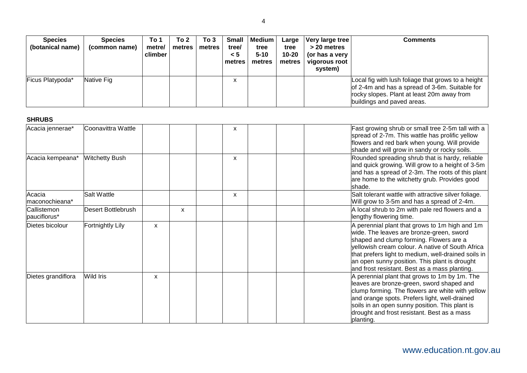| <b>Species</b><br>(botanical name) | <b>Species</b><br>(common name) | To 1<br>metre/<br>climber | To 2<br>metres | To 3<br>metres | <b>Small</b><br>tree/<br>$\leq 5$<br>l metres | <b>Medium</b><br>tree<br>$5 - 10$<br>metres | Large<br>tree<br>10-20<br>metres | Very large tree<br>> 20 metres<br>(or has a very<br>vigorous root<br>system) | <b>Comments</b>                                                                                                                                                                  |
|------------------------------------|---------------------------------|---------------------------|----------------|----------------|-----------------------------------------------|---------------------------------------------|----------------------------------|------------------------------------------------------------------------------|----------------------------------------------------------------------------------------------------------------------------------------------------------------------------------|
| Ficus Platypoda*                   | Native Fig.                     |                           |                |                |                                               |                                             |                                  |                                                                              | Local fig with lush foliage that grows to a height<br>of 2-4m and has a spread of 3-6m. Suitable for<br>rocky slopes. Plant at least 20m away from<br>buildings and paved areas. |

| <b>SHRUB</b> |  |
|--------------|--|
|              |  |

| Acacia jennerae*            | Coonavittra Wattle        |   |   | x |  | Fast growing shrub or small tree 2-5m tall with a<br>spread of 2-7m. This wattle has prolific yellow<br>flowers and red bark when young. Will provide<br>shade and will grow in sandy or rocky soils.                                                                                                                                              |
|-----------------------------|---------------------------|---|---|---|--|----------------------------------------------------------------------------------------------------------------------------------------------------------------------------------------------------------------------------------------------------------------------------------------------------------------------------------------------------|
| Acacia kempeana*            | <b>Witchetty Bush</b>     |   |   | X |  | Rounded spreading shrub that is hardy, reliable<br>and quick growing. Will grow to a height of 3-5m<br>and has a spread of 2-3m. The roots of this plant<br>are home to the witchetty grub. Provides good<br>shade.                                                                                                                                |
| Acacia<br>maconochieana*    | Salt Wattle               |   |   | x |  | Salt tolerant wattle with attractive silver foliage.<br>Will grow to 3-5m and has a spread of 2-4m.                                                                                                                                                                                                                                                |
| Callistemon<br>pauciflorus* | <b>Desert Bottlebrush</b> |   | X |   |  | A local shrub to 2m with pale red flowers and a<br>lengthy flowering time.                                                                                                                                                                                                                                                                         |
| Dietes bicolour             | <b>Fortnightly Lily</b>   | X |   |   |  | A perennial plant that grows to 1m high and 1m<br>wide. The leaves are bronze-green, sword<br>shaped and clump forming. Flowers are a<br>yellowish cream colour. A native of South Africa<br>that prefers light to medium, well-drained soils in<br>an open sunny position. This plant is drought<br>and frost resistant. Best as a mass planting. |
| Dietes grandiflora          | Wild Iris                 | X |   |   |  | A perennial plant that grows to 1m by 1m. The<br>leaves are bronze-green, sword shaped and<br>clump forming. The flowers are white with yellow<br>and orange spots. Prefers light, well-drained<br>soils in an open sunny position. This plant is<br>drought and frost resistant. Best as a mass<br>planting.                                      |